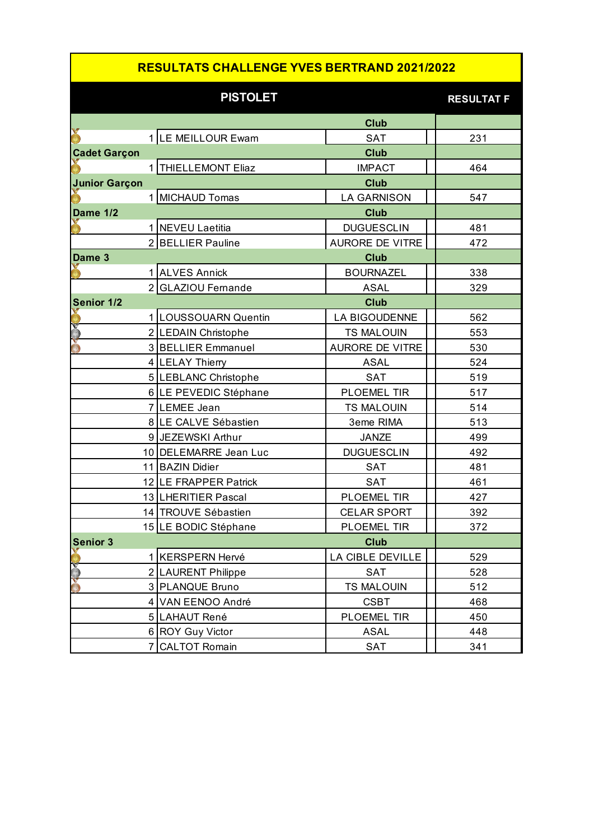## **RESULTATS CHALLENGE YVES BERTRAND 2021/2022**

|                      | <b>PISTOLET</b>       |                        | <b>RESULTAT F</b> |
|----------------------|-----------------------|------------------------|-------------------|
|                      |                       | <b>Club</b>            |                   |
|                      | 1 LE MEILLOUR Ewam    | <b>SAT</b>             | 231               |
| <b>Cadet Garçon</b>  |                       | <b>Club</b>            |                   |
|                      | 1 THIELLEMONT Eliaz   | <b>IMPACT</b>          | 464               |
| <b>Junior Garçon</b> |                       |                        |                   |
|                      | 1 MICHAUD Tomas       | <b>LA GARNISON</b>     | 547               |
| Dame 1/2             |                       | <b>Club</b>            |                   |
|                      | 1 NEVEU Laetitia      | <b>DUGUESCLIN</b>      | 481               |
|                      | 2 BELLIER Pauline     | <b>AURORE DE VITRE</b> | 472               |
| Dame 3               |                       | <b>Club</b>            |                   |
|                      | 1 ALVES Annick        | <b>BOURNAZEL</b>       | 338               |
|                      | 2 GLAZIOU Fernande    | <b>ASAL</b>            | 329               |
| Senior 1/2           |                       | <b>Club</b>            |                   |
|                      | 1 LOUSSOUARN Quentin  | <b>LA BIGOUDENNE</b>   | 562               |
|                      | 2 LEDAIN Christophe   | <b>TS MALOUIN</b>      | 553               |
|                      | 3 BELLIER Emmanuel    | <b>AURORE DE VITRE</b> | 530               |
|                      | 4 LELAY Thierry       | <b>ASAL</b>            | 524               |
|                      | 5 LEBLANC Christophe  | <b>SAT</b>             | 519               |
|                      | 6 LE PEVEDIC Stéphane | PLOEMEL TIR            | 517               |
|                      | 7 LEMEE Jean          | <b>TS MALOUIN</b>      | 514               |
|                      | 8 LE CALVE Sébastien  | 3eme RIMA              | 513               |
|                      | 9 JEZEWSKI Arthur     | <b>JANZE</b>           | 499               |
|                      | 10 DELEMARRE Jean Luc | <b>DUGUESCLIN</b>      | 492               |
|                      | 11 BAZIN Didier       | <b>SAT</b>             | 481               |
|                      | 12 LE FRAPPER Patrick | <b>SAT</b>             | 461               |
|                      | 13 LHERITIER Pascal   | PLOEMEL TIR            | 427               |
|                      | 14 TROUVE Sébastien   | <b>CELAR SPORT</b>     | 392               |
|                      | 15 LE BODIC Stéphane  | <b>PLOEMEL TIR</b>     | 372               |
| <b>Senior 3</b>      |                       | <b>Club</b>            |                   |
|                      | 1 KERSPERN Hervé      | LA CIBLE DEVILLE       | 529               |
|                      | 2 LAURENT Philippe    | <b>SAT</b>             | 528               |
| v                    | 3 PLANQUE Bruno       | <b>TS MALOUIN</b>      | 512               |
|                      | 4 VAN EENOO André     | <b>CSBT</b>            | 468               |
|                      | 5 LAHAUT René         | PLOEMEL TIR            | 450               |
|                      | 6 ROY Guy Victor      | <b>ASAL</b>            | 448               |
| 7                    | <b>CALTOT Romain</b>  | <b>SAT</b>             | 341               |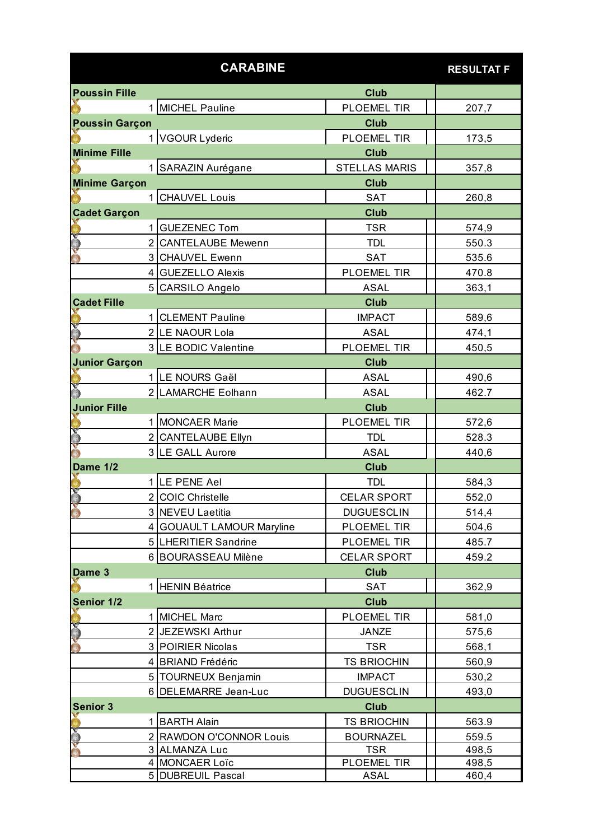|                       |                | <b>CARABINE</b>           |                      | <b>RESULTAT F</b> |
|-----------------------|----------------|---------------------------|----------------------|-------------------|
| <b>Poussin Fille</b>  |                |                           | <b>Club</b>          |                   |
|                       |                | 1 MICHEL Pauline          | PLOEMEL TIR          | 207,7             |
| <b>Poussin Garçon</b> |                |                           | <b>Club</b>          |                   |
|                       |                | 1 VGOUR Lyderic           | <b>PLOEMEL TIR</b>   | 173,5             |
| <b>Minime Fille</b>   |                |                           | <b>Club</b>          |                   |
|                       |                | 1 SARAZIN Aurégane        | <b>STELLAS MARIS</b> | 357,8             |
| <b>Minime Garçon</b>  |                |                           | <b>Club</b>          |                   |
|                       | 1 <sup>1</sup> | <b>CHAUVEL Louis</b>      | <b>SAT</b>           | 260,8             |
| <b>Cadet Garçon</b>   |                |                           | <b>Club</b>          |                   |
|                       |                | <b>GUEZENEC Tom</b>       | TSR                  | 574,9             |
|                       |                | 2 CANTELAUBE Mewenn       | <b>TDL</b>           | 550.3             |
|                       |                | 3 CHAUVEL Ewenn           | <b>SAT</b>           | 535.6             |
|                       |                | 4 GUEZELLO Alexis         | PLOEMEL TIR          | 470.8             |
|                       |                | 5 CARSILO Angelo          | <b>ASAL</b>          | 363,1             |
| <b>Cadet Fille</b>    |                |                           | <b>Club</b>          |                   |
|                       |                | <b>CLEMENT Pauline</b>    | <b>IMPACT</b>        | 589,6             |
|                       |                | 2 LE NAOUR Lola           | <b>ASAL</b>          | 474,1             |
|                       |                | 3 LE BODIC Valentine      | PLOEMEL TIR          | 450,5             |
| <b>Junior Garçon</b>  |                |                           | <b>Club</b>          |                   |
|                       |                | 1 LE NOURS Gaël           | <b>ASAL</b>          | 490,6             |
|                       |                | 2 LAMARCHE Eolhann        | <b>ASAL</b>          | 462.7             |
| <b>Junior Fille</b>   |                |                           | <b>Club</b>          |                   |
|                       |                | 1 MONCAER Marie           | PLOEMEL TIR          |                   |
|                       |                | 2 CANTELAUBE Ellyn        | <b>TDL</b>           | 572,6<br>528.3    |
|                       |                | 3 LE GALL Aurore          | <b>ASAL</b>          | 440,6             |
| Dame 1/2              |                |                           | <b>Club</b>          |                   |
|                       |                | 1 LE PENE Ael             | <b>TDL</b>           |                   |
|                       |                | 2 COIC Christelle         | <b>CELAR SPORT</b>   | 584,3             |
| Ŏ                     |                |                           |                      | 552,0             |
|                       |                | 3 NEVEU Laetitia          | <b>DUGUESCLIN</b>    | 514,4             |
|                       |                | 4 GOUAULT LAMOUR Maryline | PLOEMEL TIR          | 504,6             |
|                       |                | 5 LHERITIER Sandrine      | PLOEMEL TIR          | 485.7             |
|                       |                | 6 BOURASSEAU Milène       | <b>CELAR SPORT</b>   | 459.2             |
| Dame 3                |                |                           | <b>Club</b>          |                   |
|                       |                | 1 HENIN Béatrice          | <b>SAT</b>           | 362,9             |
| Senior 1/2            |                |                           | <b>Club</b>          |                   |
|                       |                | 1 MICHEL Marc             | PLOEMEL TIR          | 581,0             |
|                       |                | 2 JEZEWSKI Arthur         | <b>JANZE</b>         | 575,6             |
|                       |                | 3 POIRIER Nicolas         | <b>TSR</b>           | 568,1             |
|                       |                | 4 BRIAND Frédéric         | <b>TS BRIOCHIN</b>   | 560,9             |
|                       |                | 5   TOURNEUX Benjamin     | <b>IMPACT</b>        | 530,2             |
|                       |                | 6 DELEMARRE Jean-Luc      | <b>DUGUESCLIN</b>    | 493,0             |
| <b>Senior 3</b>       |                |                           | <b>Club</b>          |                   |
|                       |                | 1 BARTH Alain             | <b>TS BRIOCHIN</b>   | 563.9             |
| ۳                     |                | 2 RAWDON O'CONNOR Louis   | <b>BOURNAZEL</b>     | 559.5             |
|                       |                | 3 ALMANZA Luc             | <b>TSR</b>           | 498,5             |
|                       |                | 4 MONCAER Loïc            | PLOEMEL TIR          | 498,5             |
|                       |                | 5 DUBREUIL Pascal         | ASAL                 | 460,4             |